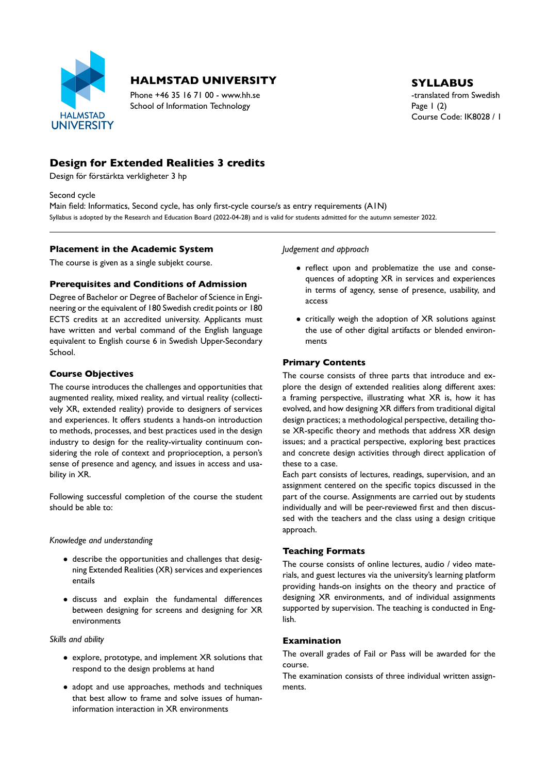

# **HALMSTAD UNIVERSITY** SYLLABUS

Phone +46 35 16 71 00 - www.hh.se the translated from Swedish School of Information Technology Page 1 (2)

Course Code: IK8028 / 1

# **Design for Extended Realities 3 credits**

Design för förstärkta verkligheter 3 hp

Second cycle

Main field: Informatics, Second cycle, has only first-cycle course/s as entry requirements (A1N) Syllabus is adopted by the Research and Education Board (2022-04-28) and is valid for students admitted for the autumn semester 2022.

#### **Placement in the Academic System**

The course is given as a single subjekt course.

### **Prerequisites and Conditions of Admission**

Degree of Bachelor or Degree of Bachelor of Science in Engi neering or the equivalent of 180 Swedish credit points or 180 ECTS credits at an accredited university. Applicants must have written and verbal command of the English language equivalent to English course 6 in Swedish Upper-Secondary School.

#### **Course Objectives**

The course introduces the challenges and opportunities that augmented reality, mixed reality, and virtual reality (collecti vely XR, extended reality) provide to designers of services and experiences. It offers students a hands-on introduction to methods, processes, and best practices used in the design industry to design for the reality-virtuality continuum considering the role of context and proprioception, a person's sense of presence and agency, and issues in access and usa bility in XR.

Following successful completion of the course the student should be able to:

#### *Knowledge and understanding*

- describe the opportunities and challenges that desig ning Extended Realities (XR) services and experiences entails
- discuss and explain the fundamental differences between designing for screens and designing for XR environments

*Skills and ability*

- explore, prototype, and implement XR solutions that respond to the design problems at hand
- adopt and use approaches, methods and techniques that best allow to frame and solve issues of human information interaction in XR environments

*Judgement and approach*

- reflect upon and problematize the use and consequences of adopting XR in services and experiences in terms of agency, sense of presence, usability, and access
- critically weigh the adoption of XR solutions against the use of other digital artifacts or blended environ ments

#### **Primary Contents**

The course consists of three parts that introduce and ex plore the design of extended realities along different axes: a framing perspective, illustrating what XR is, how it has evolved, and how designing XR differs from traditional digital design practices; a methodological perspective, detailing tho se XR-specific theory and methods that address XR design issues; and a practical perspective, exploring best practices and concrete design activities through direct application of these to a case.

Each part consists of lectures, readings, supervision, and an assignment centered on the specific topics discussed in the part of the course. Assignments are carried out by students individually and will be peer-reviewed first and then discussed with the teachers and the class using a design critique approach.

#### **Teaching Formats**

The course consists of online lectures, audio / video mate rials, and guest lectures via the university's learning platform providing hands-on insights on the theory and practice of designing XR environments, and of individual assignments supported by supervision. The teaching is conducted in Eng lish.

#### **Examination**

The overall grades of Fail or Pass will be awarded for the course.

The examination consists of three individual written assign ments.